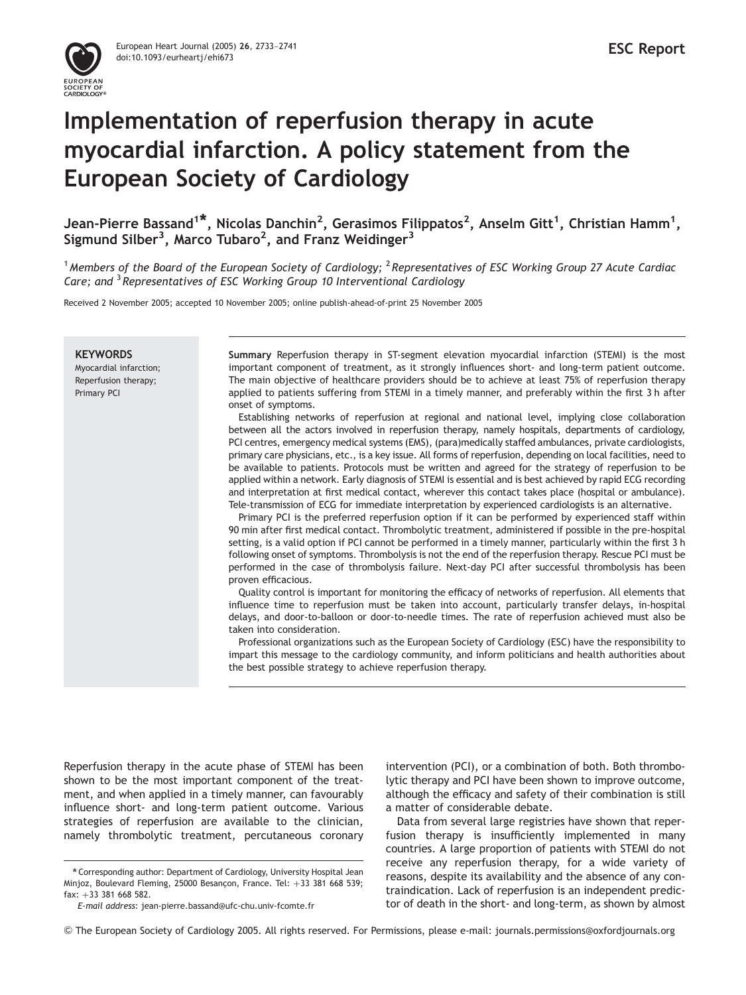# Implementation of reperfusion therapy in acute myocardial infarction. A policy statement from the European Society of Cardiology

Jean-Pierre Bassand $^{\rm 1*}$ , Nicolas Danchin $^{\rm 2}$ , Gerasimos Filippatos $^{\rm 2}$ , Anselm Gitt $^{\rm 1}$ , Christian Hamm $^{\rm 1}$ , Sigmund Silber $^3$ , Marco Tubaro $^2$ , and Franz Weidinger $^3$ 

<sup>1</sup> Members of the Board of the European Society of Cardiology; <sup>2</sup> Representatives of ESC Working Group 27 Acute Cardiac Care; and  $3$  Representatives of ESC Working Group 10 Interventional Cardiology

Received 2 November 2005; accepted 10 November 2005; online publish-ahead-of-print 25 November 2005

#### **KEYWORDS**

Myocardial infarction; Reperfusion therapy; Primary PCI

Summary Reperfusion therapy in ST-segment elevation myocardial infarction (STEMI) is the most important component of treatment, as it strongly influences short- and long-term patient outcome. The main objective of healthcare providers should be to achieve at least 75% of reperfusion therapy applied to patients suffering from STEMI in a timely manner, and preferably within the first 3 h after onset of symptoms.

Establishing networks of reperfusion at regional and national level, implying close collaboration between all the actors involved in reperfusion therapy, namely hospitals, departments of cardiology, PCI centres, emergency medical systems (EMS), (para)medically staffed ambulances, private cardiologists, primary care physicians, etc., is a key issue. All forms of reperfusion, depending on local facilities, need to be available to patients. Protocols must be written and agreed for the strategy of reperfusion to be applied within a network. Early diagnosis of STEMI is essential and is best achieved by rapid ECG recording and interpretation at first medical contact, wherever this contact takes place (hospital or ambulance). Tele-transmission of ECG for immediate interpretation by experienced cardiologists is an alternative.

Primary PCI is the preferred reperfusion option if it can be performed by experienced staff within 90 min after first medical contact. Thrombolytic treatment, administered if possible in the pre-hospital setting, is a valid option if PCI cannot be performed in a timely manner, particularly within the first 3 h following onset of symptoms. Thrombolysis is not the end of the reperfusion therapy. Rescue PCI must be performed in the case of thrombolysis failure. Next-day PCI after successful thrombolysis has been proven efficacious.

Quality control is important for monitoring the efficacy of networks of reperfusion. All elements that influence time to reperfusion must be taken into account, particularly transfer delays, in-hospital delays, and door-to-balloon or door-to-needle times. The rate of reperfusion achieved must also be taken into consideration.

Professional organizations such as the European Society of Cardiology (ESC) have the responsibility to impart this message to the cardiology community, and inform politicians and health authorities about the best possible strategy to achieve reperfusion therapy.

Reperfusion therapy in the acute phase of STEMI has been shown to be the most important component of the treatment, and when applied in a timely manner, can favourably influence short- and long-term patient outcome. Various strategies of reperfusion are available to the clinician, namely thrombolytic treatment, percutaneous coronary

intervention (PCI), or a combination of both. Both thrombolytic therapy and PCI have been shown to improve outcome, although the efficacy and safety of their combination is still a matter of considerable debate.

Data from several large registries have shown that reperfusion therapy is insufficiently implemented in many countries. A large proportion of patients with STEMI do not receive any reperfusion therapy, for a wide variety of reasons, despite its availability and the absence of any contraindication. Lack of reperfusion is an independent predictor of death in the short- and long-term, as shown by almost

<sup>\*</sup> Corresponding author: Department of Cardiology, University Hospital Jean Minjoz, Boulevard Fleming, 25000 Besançon, France. Tel:  $+33$  381 668 539;  $fax: +33$  381 668 582.

E-mail address: jean-pierre.bassand@ufc-chu.univ-fcomte.fr

*<sup>&</sup>amp;* The European Society of Cardiology 2005. All rights reserved. For Permissions, please e-mail: journals.permissions@oxfordjournals.org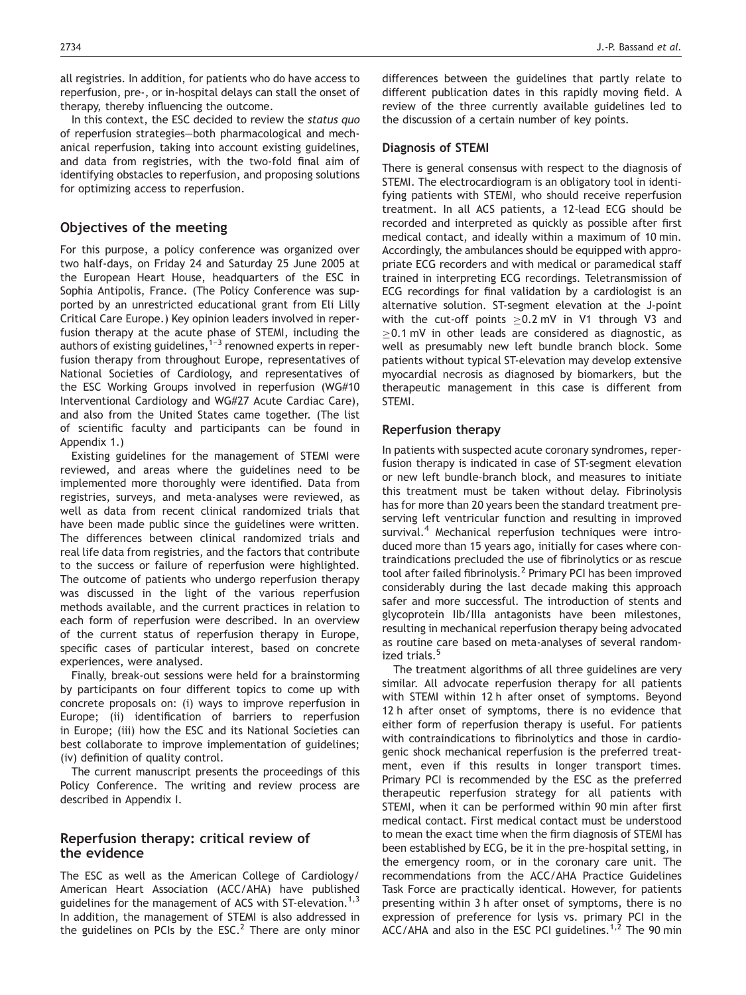all registries. In addition, for patients who do have access to reperfusion, pre-, or in-hospital delays can stall the onset of therapy, thereby influencing the outcome.

In this context, the ESC decided to review the status quo of reperfusion strategies—both pharmacological and mechanical reperfusion, taking into account existing guidelines, and data from registries, with the two-fold final aim of identifying obstacles to reperfusion, and proposing solutions for optimizing access to reperfusion.

## Objectives of the meeting

For this purpose, a policy conference was organized over two half-days, on Friday 24 and Saturday 25 June 2005 at the European Heart House, headquarters of the ESC in Sophia Antipolis, France. (The Policy Conference was supported by an unrestricted educational grant from Eli Lilly Critical Care Europe.) Key opinion leaders involved in reperfusion therapy at the acute phase of STEMI, including the<br>authors of existing guidelines,<sup>1-3</sup> renowned experts in reperfusion therapy from throughout Europe, representatives of National Societies of Cardiology, and representatives of the ESC Working Groups involved in reperfusion (WG#10 Interventional Cardiology and WG#27 Acute Cardiac Care), and also from the United States came together. (The list of scientific faculty and participants can be found in Appendix 1.)

Existing guidelines for the management of STEMI were reviewed, and areas where the guidelines need to be implemented more thoroughly were identified. Data from registries, surveys, and meta-analyses were reviewed, as well as data from recent clinical randomized trials that have been made public since the guidelines were written. The differences between clinical randomized trials and real life data from registries, and the factors that contribute to the success or failure of reperfusion were highlighted. The outcome of patients who undergo reperfusion therapy was discussed in the light of the various reperfusion methods available, and the current practices in relation to each form of reperfusion were described. In an overview of the current status of reperfusion therapy in Europe, specific cases of particular interest, based on concrete experiences, were analysed.

Finally, break-out sessions were held for a brainstorming by participants on four different topics to come up with concrete proposals on: (i) ways to improve reperfusion in Europe; (ii) identification of barriers to reperfusion in Europe; (iii) how the ESC and its National Societies can best collaborate to improve implementation of guidelines; (iv) definition of quality control.

The current manuscript presents the proceedings of this Policy Conference. The writing and review process are described in Appendix I.

## Reperfusion therapy: critical review of the evidence

The ESC as well as the American College of Cardiology/ American Heart Association (ACC/AHA) have published guidelines for the management of ACS with ST-elevation.<sup>1,3</sup> In addition, the management of STEMI is also addressed in the guidelines on PCIs by the ESC. $<sup>2</sup>$  There are only minor</sup> differences between the guidelines that partly relate to different publication dates in this rapidly moving field. A review of the three currently available guidelines led to the discussion of a certain number of key points.

#### Diagnosis of STEMI

There is general consensus with respect to the diagnosis of STEMI. The electrocardiogram is an obligatory tool in identifying patients with STEMI, who should receive reperfusion treatment. In all ACS patients, a 12-lead ECG should be recorded and interpreted as quickly as possible after first medical contact, and ideally within a maximum of 10 min. Accordingly, the ambulances should be equipped with appropriate ECG recorders and with medical or paramedical staff trained in interpreting ECG recordings. Teletransmission of ECG recordings for final validation by a cardiologist is an alternative solution. ST-segment elevation at the J-point with the cut-off points  $\geq$ 0.2 mV in V1 through V3 and  $>$ 0.1 mV in other leads are considered as diagnostic, as well as presumably new left bundle branch block. Some patients without typical ST-elevation may develop extensive myocardial necrosis as diagnosed by biomarkers, but the therapeutic management in this case is different from STEMI.

#### Reperfusion therapy

In patients with suspected acute coronary syndromes, reperfusion therapy is indicated in case of ST-segment elevation or new left bundle-branch block, and measures to initiate this treatment must be taken without delay. Fibrinolysis has for more than 20 years been the standard treatment preserving left ventricular function and resulting in improved survival.<sup>4</sup> Mechanical reperfusion techniques were introduced more than 15 years ago, initially for cases where contraindications precluded the use of fibrinolytics or as rescue tool after failed fibrinolysis.<sup>2</sup> Primary PCI has been improved considerably during the last decade making this approach safer and more successful. The introduction of stents and glycoprotein IIb/IIIa antagonists have been milestones, resulting in mechanical reperfusion therapy being advocated as routine care based on meta-analyses of several randomized trials.<sup>5</sup>

The treatment algorithms of all three guidelines are very similar. All advocate reperfusion therapy for all patients with STEMI within 12 h after onset of symptoms. Beyond 12 h after onset of symptoms, there is no evidence that either form of reperfusion therapy is useful. For patients with contraindications to fibrinolytics and those in cardiogenic shock mechanical reperfusion is the preferred treatment, even if this results in longer transport times. Primary PCI is recommended by the ESC as the preferred therapeutic reperfusion strategy for all patients with STEMI, when it can be performed within 90 min after first medical contact. First medical contact must be understood to mean the exact time when the firm diagnosis of STEMI has been established by ECG, be it in the pre-hospital setting, in the emergency room, or in the coronary care unit. The recommendations from the ACC/AHA Practice Guidelines Task Force are practically identical. However, for patients presenting within 3 h after onset of symptoms, there is no expression of preference for lysis vs. primary PCI in the  $ACC/AHA$  and also in the ESC PCI guidelines.<sup>1,2</sup> The 90 min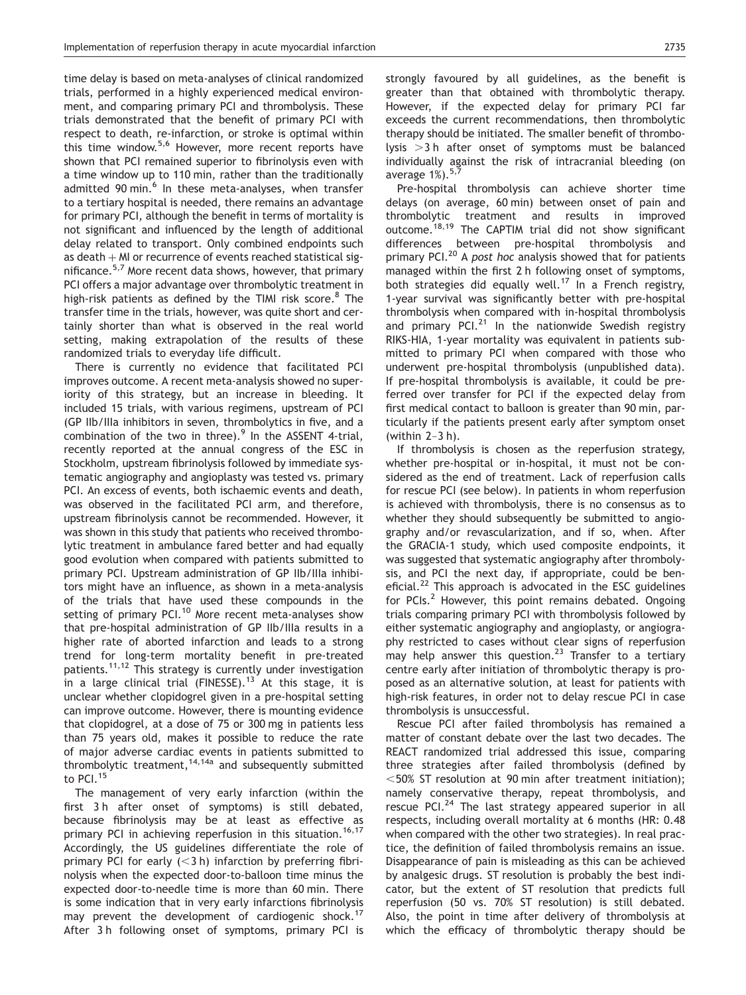time delay is based on meta-analyses of clinical randomized trials, performed in a highly experienced medical environment, and comparing primary PCI and thrombolysis. These trials demonstrated that the benefit of primary PCI with respect to death, re-infarction, or stroke is optimal within this time window.<sup>5,6</sup> However, more recent reports have shown that PCI remained superior to fibrinolysis even with a time window up to 110 min, rather than the traditionally admitted 90 min.<sup>6</sup> In these meta-analyses, when transfer to a tertiary hospital is needed, there remains an advantage for primary PCI, although the benefit in terms of mortality is not significant and influenced by the length of additional delay related to transport. Only combined endpoints such as death  $+$  MI or recurrence of events reached statistical significance.5,7 More recent data shows, however, that primary PCI offers a major advantage over thrombolytic treatment in high-risk patients as defined by the TIMI risk score.<sup>8</sup> The transfer time in the trials, however, was quite short and certainly shorter than what is observed in the real world setting, making extrapolation of the results of these randomized trials to everyday life difficult.

There is currently no evidence that facilitated PCI improves outcome. A recent meta-analysis showed no superiority of this strategy, but an increase in bleeding. It included 15 trials, with various regimens, upstream of PCI (GP IIb/IIIa inhibitors in seven, thrombolytics in five, and a combination of the two in three). $9$  In the ASSENT 4-trial, recently reported at the annual congress of the ESC in Stockholm, upstream fibrinolysis followed by immediate systematic angiography and angioplasty was tested vs. primary PCI. An excess of events, both ischaemic events and death, was observed in the facilitated PCI arm, and therefore, upstream fibrinolysis cannot be recommended. However, it was shown in this study that patients who received thrombolytic treatment in ambulance fared better and had equally good evolution when compared with patients submitted to primary PCI. Upstream administration of GP IIb/IIIa inhibitors might have an influence, as shown in a meta-analysis of the trials that have used these compounds in the setting of primary PCI.<sup>10</sup> More recent meta-analyses show that pre-hospital administration of GP IIb/IIIa results in a higher rate of aborted infarction and leads to a strong trend for long-term mortality benefit in pre-treated patients.11,12 This strategy is currently under investigation in a large clinical trial (FINESSE).<sup>13</sup> At this stage, it is unclear whether clopidogrel given in a pre-hospital setting can improve outcome. However, there is mounting evidence that clopidogrel, at a dose of 75 or 300 mg in patients less than 75 years old, makes it possible to reduce the rate of major adverse cardiac events in patients submitted to thrombolytic treatment,  $14,14a$  and subsequently submitted to PCI.<sup>15</sup>

The management of very early infarction (within the first 3 h after onset of symptoms) is still debated, because fibrinolysis may be at least as effective as primary PCI in achieving reperfusion in this situation.<sup>16,17</sup> Accordingly, the US guidelines differentiate the role of primary PCI for early  $(<$ 3 h) infarction by preferring fibrinolysis when the expected door-to-balloon time minus the expected door-to-needle time is more than 60 min. There is some indication that in very early infarctions fibrinolysis may prevent the development of cardiogenic shock.<sup>17</sup> After 3 h following onset of symptoms, primary PCI is strongly favoured by all guidelines, as the benefit is greater than that obtained with thrombolytic therapy. However, if the expected delay for primary PCI far exceeds the current recommendations, then thrombolytic therapy should be initiated. The smaller benefit of thrombolysis  $>3$  h after onset of symptoms must be balanced individually against the risk of intracranial bleeding (on average  $1\%$ ).  $5\%$ 

Pre-hospital thrombolysis can achieve shorter time delays (on average, 60 min) between onset of pain and thrombolytic treatment and results in improved outcome.18,19 The CAPTIM trial did not show significant differences between pre-hospital thrombolysis and primary PCI.<sup>20</sup> A post hoc analysis showed that for patients managed within the first 2 h following onset of symptoms, both strategies did equally well.<sup>17</sup> In a French registry, 1-year survival was significantly better with pre-hospital thrombolysis when compared with in-hospital thrombolysis and primary PCI. $^{21}$  In the nationwide Swedish registry RIKS-HIA, 1-year mortality was equivalent in patients submitted to primary PCI when compared with those who underwent pre-hospital thrombolysis (unpublished data). If pre-hospital thrombolysis is available, it could be preferred over transfer for PCI if the expected delay from first medical contact to balloon is greater than 90 min, particularly if the patients present early after symptom onset (within 2–3 h).

If thrombolysis is chosen as the reperfusion strategy, whether pre-hospital or in-hospital, it must not be considered as the end of treatment. Lack of reperfusion calls for rescue PCI (see below). In patients in whom reperfusion is achieved with thrombolysis, there is no consensus as to whether they should subsequently be submitted to angiography and/or revascularization, and if so, when. After the GRACIA-1 study, which used composite endpoints, it was suggested that systematic angiography after thrombolysis, and PCI the next day, if appropriate, could be beneficial. $^{22}$  This approach is advocated in the ESC guidelines for PCIs.<sup>2</sup> However, this point remains debated. Ongoing trials comparing primary PCI with thrombolysis followed by either systematic angiography and angioplasty, or angiography restricted to cases without clear signs of reperfusion  $\frac{1}{2}$  may help answer this question.<sup>23</sup> Transfer to a tertiary centre early after initiation of thrombolytic therapy is proposed as an alternative solution, at least for patients with high-risk features, in order not to delay rescue PCI in case thrombolysis is unsuccessful.

Rescue PCI after failed thrombolysis has remained a matter of constant debate over the last two decades. The REACT randomized trial addressed this issue, comparing three strategies after failed thrombolysis (defined by  $<$  50% ST resolution at 90 min after treatment initiation); namely conservative therapy, repeat thrombolysis, and rescue PCI.<sup>24</sup> The last strategy appeared superior in all respects, including overall mortality at 6 months (HR: 0.48 when compared with the other two strategies). In real practice, the definition of failed thrombolysis remains an issue. Disappearance of pain is misleading as this can be achieved by analgesic drugs. ST resolution is probably the best indicator, but the extent of ST resolution that predicts full reperfusion (50 vs. 70% ST resolution) is still debated. Also, the point in time after delivery of thrombolysis at which the efficacy of thrombolytic therapy should be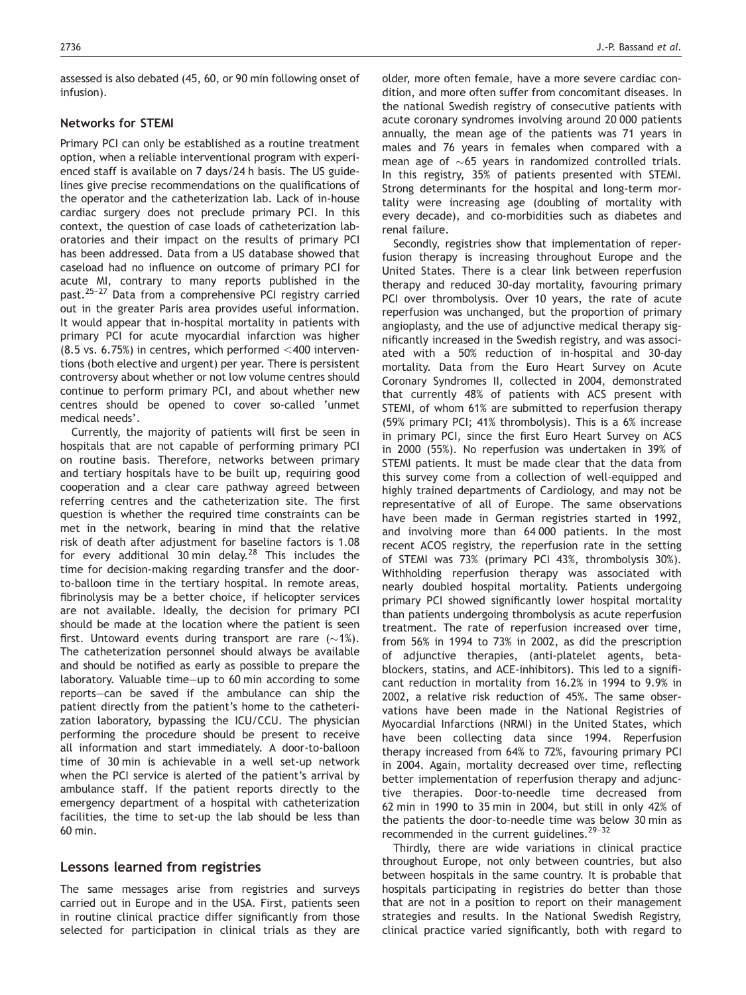assessed is also debated (45, 60, or 90 min following onset of infusion).

#### Networks for STEMI

Primary PCI can only be established as a routine treatment option, when a reliable interventional program with experienced staff is available on 7 days/24 h basis. The US guidelines give precise recommendations on the qualifications of the operator and the catheterization lab. Lack of in-house cardiac surgery does not preclude primary PCI. In this context, the question of case loads of catheterization laboratories and their impact on the results of primary PCI has been addressed. Data from a US database showed that caseload had no influence on outcome of primary PCI for acute MI, contrary to many reports published in the past.25–27 Data from a comprehensive PCI registry carried out in the greater Paris area provides useful information. It would appear that in-hospital mortality in patients with primary PCI for acute myocardial infarction was higher  $(8.5 \text{ vs. } 6.75\%)$  in centres, which performed  $<$ 400 interventions (both elective and urgent) per year. There is persistent controversy about whether or not low volume centres should continue to perform primary PCI, and about whether new centres should be opened to cover so-called 'unmet medical needs'.

Currently, the majority of patients will first be seen in hospitals that are not capable of performing primary PCI on routine basis. Therefore, networks between primary and tertiary hospitals have to be built up, requiring good cooperation and a clear care pathway agreed between referring centres and the catheterization site. The first question is whether the required time constraints can be met in the network, bearing in mind that the relative risk of death after adjustment for baseline factors is 1.08 for every additional 30 min delay.<sup>28</sup> This includes the time for decision-making regarding transfer and the doorto-balloon time in the tertiary hospital. In remote areas, fibrinolysis may be a better choice, if helicopter services are not available. Ideally, the decision for primary PCI should be made at the location where the patient is seen first. Untoward events during transport are rare  $(\sim 1\%)$ . The catheterization personnel should always be available and should be notified as early as possible to prepare the laboratory. Valuable time—up to 60 min according to some reports—can be saved if the ambulance can ship the patient directly from the patient's home to the catheterization laboratory, bypassing the ICU/CCU. The physician performing the procedure should be present to receive all information and start immediately. A door-to-balloon time of 30 min is achievable in a well set-up network when the PCI service is alerted of the patient's arrival by ambulance staff. If the patient reports directly to the emergency department of a hospital with catheterization facilities, the time to set-up the lab should be less than 60 min.

#### Lessons learned from registries

The same messages arise from registries and surveys carried out in Europe and in the USA. First, patients seen in routine clinical practice differ significantly from those selected for participation in clinical trials as they are

older, more often female, have a more severe cardiac condition, and more often suffer from concomitant diseases. In the national Swedish registry of consecutive patients with acute coronary syndromes involving around 20 000 patients annually, the mean age of the patients was 71 years in males and 76 years in females when compared with a mean age of  $\sim$  65 years in randomized controlled trials. In this registry, 35% of patients presented with STEMI. Strong determinants for the hospital and long-term mortality were increasing age (doubling of mortality with every decade), and co-morbidities such as diabetes and renal failure.

Secondly, registries show that implementation of reperfusion therapy is increasing throughout Europe and the United States. There is a clear link between reperfusion therapy and reduced 30-day mortality, favouring primary PCI over thrombolysis. Over 10 years, the rate of acute reperfusion was unchanged, but the proportion of primary angioplasty, and the use of adjunctive medical therapy significantly increased in the Swedish registry, and was associated with a 50% reduction of in-hospital and 30-day mortality. Data from the Euro Heart Survey on Acute Coronary Syndromes II, collected in 2004, demonstrated that currently 48% of patients with ACS present with STEMI, of whom 61% are submitted to reperfusion therapy (59% primary PCI; 41% thrombolysis). This is a 6% increase in primary PCI, since the first Euro Heart Survey on ACS in 2000 (55%). No reperfusion was undertaken in 39% of STEMI patients. It must be made clear that the data from this survey come from a collection of well-equipped and highly trained departments of Cardiology, and may not be representative of all of Europe. The same observations have been made in German registries started in 1992, and involving more than 64 000 patients. In the most recent ACOS registry, the reperfusion rate in the setting of STEMI was 73% (primary PCI 43%, thrombolysis 30%). Withholding reperfusion therapy was associated with nearly doubled hospital mortality. Patients undergoing primary PCI showed significantly lower hospital mortality than patients undergoing thrombolysis as acute reperfusion treatment. The rate of reperfusion increased over time, from 56% in 1994 to 73% in 2002, as did the prescription of adjunctive therapies, (anti-platelet agents, betablockers, statins, and ACE-inhibitors). This led to a significant reduction in mortality from 16.2% in 1994 to 9.9% in 2002, a relative risk reduction of 45%. The same observations have been made in the National Registries of Myocardial Infarctions (NRMI) in the United States, which have been collecting data since 1994. Reperfusion therapy increased from 64% to 72%, favouring primary PCI in 2004. Again, mortality decreased over time, reflecting better implementation of reperfusion therapy and adjunctive therapies. Door-to-needle time decreased from 62 min in 1990 to 35 min in 2004, but still in only 42% of the patients the door-to-needle time was below 30 min as recommended in the current guidelines.<sup>29-32</sup>

Thirdly, there are wide variations in clinical practice throughout Europe, not only between countries, but also between hospitals in the same country. It is probable that hospitals participating in registries do better than those that are not in a position to report on their management strategies and results. In the National Swedish Registry, clinical practice varied significantly, both with regard to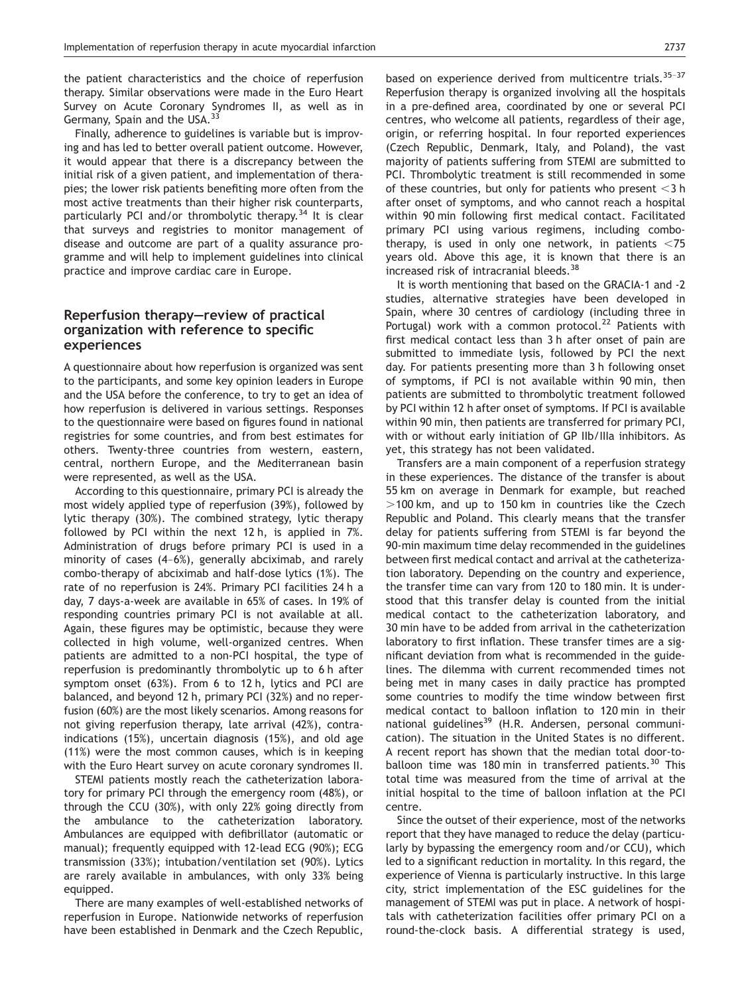the patient characteristics and the choice of reperfusion therapy. Similar observations were made in the Euro Heart Survey on Acute Coronary Syndromes II, as well as in Germany, Spain and the USA.<sup>33</sup>

Finally, adherence to guidelines is variable but is improving and has led to better overall patient outcome. However, it would appear that there is a discrepancy between the initial risk of a given patient, and implementation of therapies; the lower risk patients benefiting more often from the most active treatments than their higher risk counterparts, particularly PCI and/or thrombolytic therapy.<sup>34</sup> It is clear that surveys and registries to monitor management of disease and outcome are part of a quality assurance programme and will help to implement guidelines into clinical practice and improve cardiac care in Europe.

## Reperfusion therapy—review of practical organization with reference to specific experiences

A questionnaire about how reperfusion is organized was sent to the participants, and some key opinion leaders in Europe and the USA before the conference, to try to get an idea of how reperfusion is delivered in various settings. Responses to the questionnaire were based on figures found in national registries for some countries, and from best estimates for others. Twenty-three countries from western, eastern, central, northern Europe, and the Mediterranean basin were represented, as well as the USA.

According to this questionnaire, primary PCI is already the most widely applied type of reperfusion (39%), followed by lytic therapy (30%). The combined strategy, lytic therapy followed by PCI within the next 12 h, is applied in 7%. Administration of drugs before primary PCI is used in a minority of cases (4–6%), generally abciximab, and rarely combo-therapy of abciximab and half-dose lytics (1%). The rate of no reperfusion is 24%. Primary PCI facilities 24 h a day, 7 days-a-week are available in 65% of cases. In 19% of responding countries primary PCI is not available at all. Again, these figures may be optimistic, because they were collected in high volume, well-organized centres. When patients are admitted to a non-PCI hospital, the type of reperfusion is predominantly thrombolytic up to 6 h after symptom onset (63%). From 6 to 12 h, lytics and PCI are balanced, and beyond 12 h, primary PCI (32%) and no reperfusion (60%) are the most likely scenarios. Among reasons for not giving reperfusion therapy, late arrival (42%), contraindications (15%), uncertain diagnosis (15%), and old age (11%) were the most common causes, which is in keeping with the Euro Heart survey on acute coronary syndromes II.

STEMI patients mostly reach the catheterization laboratory for primary PCI through the emergency room (48%), or through the CCU (30%), with only 22% going directly from the ambulance to the catheterization laboratory. Ambulances are equipped with defibrillator (automatic or manual); frequently equipped with 12-lead ECG (90%); ECG transmission (33%); intubation/ventilation set (90%). Lytics are rarely available in ambulances, with only 33% being equipped.

There are many examples of well-established networks of reperfusion in Europe. Nationwide networks of reperfusion have been established in Denmark and the Czech Republic, based on experience derived from multicentre trials.<sup>35-37</sup> Reperfusion therapy is organized involving all the hospitals in a pre-defined area, coordinated by one or several PCI centres, who welcome all patients, regardless of their age, origin, or referring hospital. In four reported experiences (Czech Republic, Denmark, Italy, and Poland), the vast majority of patients suffering from STEMI are submitted to PCI. Thrombolytic treatment is still recommended in some of these countries, but only for patients who present  $<$ 3 h after onset of symptoms, and who cannot reach a hospital within 90 min following first medical contact. Facilitated primary PCI using various regimens, including combotherapy, is used in only one network, in patients  $<$ 75 years old. Above this age, it is known that there is an increased risk of intracranial bleeds.<sup>38</sup>

It is worth mentioning that based on the GRACIA-1 and -2 studies, alternative strategies have been developed in Spain, where 30 centres of cardiology (including three in Portugal) work with a common protocol.<sup>22</sup> Patients with first medical contact less than 3 h after onset of pain are submitted to immediate lysis, followed by PCI the next day. For patients presenting more than 3 h following onset of symptoms, if PCI is not available within 90 min, then patients are submitted to thrombolytic treatment followed by PCI within 12 h after onset of symptoms. If PCI is available within 90 min, then patients are transferred for primary PCI, with or without early initiation of GP IIb/IIIa inhibitors. As yet, this strategy has not been validated.

Transfers are a main component of a reperfusion strategy in these experiences. The distance of the transfer is about 55 km on average in Denmark for example, but reached  $>$  100 km, and up to 150 km in countries like the Czech Republic and Poland. This clearly means that the transfer delay for patients suffering from STEMI is far beyond the 90-min maximum time delay recommended in the guidelines between first medical contact and arrival at the catheterization laboratory. Depending on the country and experience, the transfer time can vary from 120 to 180 min. It is understood that this transfer delay is counted from the initial medical contact to the catheterization laboratory, and 30 min have to be added from arrival in the catheterization laboratory to first inflation. These transfer times are a significant deviation from what is recommended in the guidelines. The dilemma with current recommended times not being met in many cases in daily practice has prompted some countries to modify the time window between first medical contact to balloon inflation to 120 min in their national guidelines<sup>39</sup> (H.R. Andersen, personal communication). The situation in the United States is no different. A recent report has shown that the median total door-toballoon time was 180 min in transferred patients.<sup>30</sup> This total time was measured from the time of arrival at the initial hospital to the time of balloon inflation at the PCI centre.

Since the outset of their experience, most of the networks report that they have managed to reduce the delay (particularly by bypassing the emergency room and/or CCU), which led to a significant reduction in mortality. In this regard, the experience of Vienna is particularly instructive. In this large city, strict implementation of the ESC guidelines for the management of STEMI was put in place. A network of hospitals with catheterization facilities offer primary PCI on a round-the-clock basis. A differential strategy is used,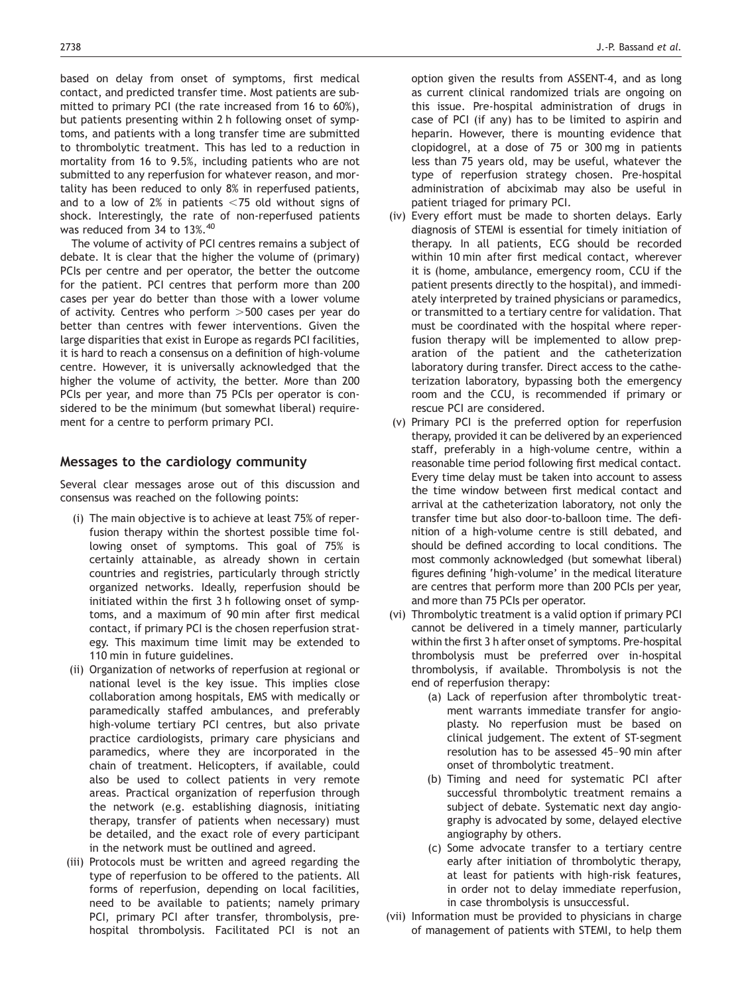based on delay from onset of symptoms, first medical contact, and predicted transfer time. Most patients are submitted to primary PCI (the rate increased from 16 to 60%), but patients presenting within 2 h following onset of symptoms, and patients with a long transfer time are submitted to thrombolytic treatment. This has led to a reduction in mortality from 16 to 9.5%, including patients who are not submitted to any reperfusion for whatever reason, and mortality has been reduced to only 8% in reperfused patients, and to a low of 2% in patients  $<$  75 old without signs of shock. Interestingly, the rate of non-reperfused patients was reduced from 34 to 13%.<sup>40</sup>

The volume of activity of PCI centres remains a subject of debate. It is clear that the higher the volume of (primary) PCIs per centre and per operator, the better the outcome for the patient. PCI centres that perform more than 200 cases per year do better than those with a lower volume of activity. Centres who perform  $>500$  cases per year do better than centres with fewer interventions. Given the large disparities that exist in Europe as regards PCI facilities, it is hard to reach a consensus on a definition of high-volume centre. However, it is universally acknowledged that the higher the volume of activity, the better. More than 200 PCIs per year, and more than 75 PCIs per operator is considered to be the minimum (but somewhat liberal) requirement for a centre to perform primary PCI.

#### Messages to the cardiology community

Several clear messages arose out of this discussion and consensus was reached on the following points:

- (i) The main objective is to achieve at least 75% of reperfusion therapy within the shortest possible time following onset of symptoms. This goal of 75% is certainly attainable, as already shown in certain countries and registries, particularly through strictly organized networks. Ideally, reperfusion should be initiated within the first 3 h following onset of symptoms, and a maximum of 90 min after first medical contact, if primary PCI is the chosen reperfusion strategy. This maximum time limit may be extended to 110 min in future guidelines.
- (ii) Organization of networks of reperfusion at regional or national level is the key issue. This implies close collaboration among hospitals, EMS with medically or paramedically staffed ambulances, and preferably high-volume tertiary PCI centres, but also private practice cardiologists, primary care physicians and paramedics, where they are incorporated in the chain of treatment. Helicopters, if available, could also be used to collect patients in very remote areas. Practical organization of reperfusion through the network (e.g. establishing diagnosis, initiating therapy, transfer of patients when necessary) must be detailed, and the exact role of every participant in the network must be outlined and agreed.
- (iii) Protocols must be written and agreed regarding the type of reperfusion to be offered to the patients. All forms of reperfusion, depending on local facilities, need to be available to patients; namely primary PCI, primary PCI after transfer, thrombolysis, prehospital thrombolysis. Facilitated PCI is not an

option given the results from ASSENT-4, and as long as current clinical randomized trials are ongoing on this issue. Pre-hospital administration of drugs in case of PCI (if any) has to be limited to aspirin and heparin. However, there is mounting evidence that clopidogrel, at a dose of 75 or 300 mg in patients less than 75 years old, may be useful, whatever the type of reperfusion strategy chosen. Pre-hospital administration of abciximab may also be useful in patient triaged for primary PCI.

- (iv) Every effort must be made to shorten delays. Early diagnosis of STEMI is essential for timely initiation of therapy. In all patients, ECG should be recorded within 10 min after first medical contact, wherever it is (home, ambulance, emergency room, CCU if the patient presents directly to the hospital), and immediately interpreted by trained physicians or paramedics, or transmitted to a tertiary centre for validation. That must be coordinated with the hospital where reperfusion therapy will be implemented to allow preparation of the patient and the catheterization laboratory during transfer. Direct access to the catheterization laboratory, bypassing both the emergency room and the CCU, is recommended if primary or rescue PCI are considered.
- (v) Primary PCI is the preferred option for reperfusion therapy, provided it can be delivered by an experienced staff, preferably in a high-volume centre, within a reasonable time period following first medical contact. Every time delay must be taken into account to assess the time window between first medical contact and arrival at the catheterization laboratory, not only the transfer time but also door-to-balloon time. The definition of a high-volume centre is still debated, and should be defined according to local conditions. The most commonly acknowledged (but somewhat liberal) figures defining 'high-volume' in the medical literature are centres that perform more than 200 PCIs per year, and more than 75 PCIs per operator.
- (vi) Thrombolytic treatment is a valid option if primary PCI cannot be delivered in a timely manner, particularly within the first 3 h after onset of symptoms. Pre-hospital thrombolysis must be preferred over in-hospital thrombolysis, if available. Thrombolysis is not the end of reperfusion therapy:
	- (a) Lack of reperfusion after thrombolytic treatment warrants immediate transfer for angioplasty. No reperfusion must be based on clinical judgement. The extent of ST-segment resolution has to be assessed 45–90 min after onset of thrombolytic treatment.
	- (b) Timing and need for systematic PCI after successful thrombolytic treatment remains a subject of debate. Systematic next day angiography is advocated by some, delayed elective angiography by others.
	- (c) Some advocate transfer to a tertiary centre early after initiation of thrombolytic therapy, at least for patients with high-risk features, in order not to delay immediate reperfusion, in case thrombolysis is unsuccessful.
- (vii) Information must be provided to physicians in charge of management of patients with STEMI, to help them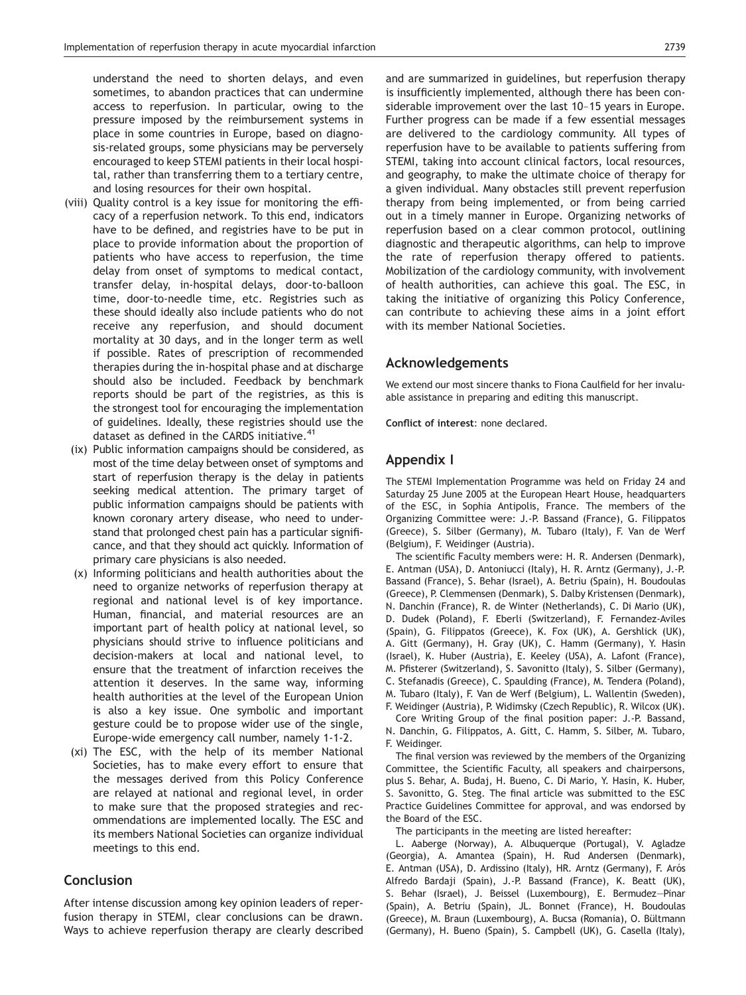understand the need to shorten delays, and even sometimes, to abandon practices that can undermine access to reperfusion. In particular, owing to the pressure imposed by the reimbursement systems in place in some countries in Europe, based on diagnosis-related groups, some physicians may be perversely encouraged to keep STEMI patients in their local hospital, rather than transferring them to a tertiary centre, and losing resources for their own hospital.

- (viii) Quality control is a key issue for monitoring the efficacy of a reperfusion network. To this end, indicators have to be defined, and registries have to be put in place to provide information about the proportion of patients who have access to reperfusion, the time delay from onset of symptoms to medical contact, transfer delay, in-hospital delays, door-to-balloon time, door-to-needle time, etc. Registries such as these should ideally also include patients who do not receive any reperfusion, and should document mortality at 30 days, and in the longer term as well if possible. Rates of prescription of recommended therapies during the in-hospital phase and at discharge should also be included. Feedback by benchmark reports should be part of the registries, as this is the strongest tool for encouraging the implementation of guidelines. Ideally, these registries should use the dataset as defined in the CARDS initiative.<sup>41</sup>
- (ix) Public information campaigns should be considered, as most of the time delay between onset of symptoms and start of reperfusion therapy is the delay in patients seeking medical attention. The primary target of public information campaigns should be patients with known coronary artery disease, who need to understand that prolonged chest pain has a particular significance, and that they should act quickly. Information of primary care physicians is also needed.
- (x) Informing politicians and health authorities about the need to organize networks of reperfusion therapy at regional and national level is of key importance. Human, financial, and material resources are an important part of health policy at national level, so physicians should strive to influence politicians and decision-makers at local and national level, to ensure that the treatment of infarction receives the attention it deserves. In the same way, informing health authorities at the level of the European Union is also a key issue. One symbolic and important gesture could be to propose wider use of the single, Europe-wide emergency call number, namely 1-1-2.
- (xi) The ESC, with the help of its member National Societies, has to make every effort to ensure that the messages derived from this Policy Conference are relayed at national and regional level, in order to make sure that the proposed strategies and recommendations are implemented locally. The ESC and its members National Societies can organize individual meetings to this end.

### Conclusion

After intense discussion among key opinion leaders of reperfusion therapy in STEMI, clear conclusions can be drawn. Ways to achieve reperfusion therapy are clearly described and are summarized in guidelines, but reperfusion therapy is insufficiently implemented, although there has been considerable improvement over the last 10–15 years in Europe. Further progress can be made if a few essential messages are delivered to the cardiology community. All types of reperfusion have to be available to patients suffering from STEMI, taking into account clinical factors, local resources, and geography, to make the ultimate choice of therapy for a given individual. Many obstacles still prevent reperfusion therapy from being implemented, or from being carried out in a timely manner in Europe. Organizing networks of reperfusion based on a clear common protocol, outlining diagnostic and therapeutic algorithms, can help to improve the rate of reperfusion therapy offered to patients. Mobilization of the cardiology community, with involvement of health authorities, can achieve this goal. The ESC, in taking the initiative of organizing this Policy Conference, can contribute to achieving these aims in a joint effort with its member National Societies.

#### Acknowledgements

We extend our most sincere thanks to Fiona Caulfield for her invaluable assistance in preparing and editing this manuscript.

Conflict of interest: none declared.

## Appendix I

The STEMI Implementation Programme was held on Friday 24 and Saturday 25 June 2005 at the European Heart House, headquarters of the ESC, in Sophia Antipolis, France. The members of the Organizing Committee were: J.-P. Bassand (France), G. Filippatos (Greece), S. Silber (Germany), M. Tubaro (Italy), F. Van de Werf (Belgium), F. Weidinger (Austria).

The scientific Faculty members were: H. R. Andersen (Denmark), E. Antman (USA), D. Antoniucci (Italy), H. R. Arntz (Germany), J.-P. Bassand (France), S. Behar (Israel), A. Betriu (Spain), H. Boudoulas (Greece), P. Clemmensen (Denmark), S. Dalby Kristensen (Denmark), N. Danchin (France), R. de Winter (Netherlands), C. Di Mario (UK), D. Dudek (Poland), F. Eberli (Switzerland), F. Fernandez-Aviles (Spain), G. Filippatos (Greece), K. Fox (UK), A. Gershlick (UK), A. Gitt (Germany), H. Gray (UK), C. Hamm (Germany), Y. Hasin (Israel), K. Huber (Austria), E. Keeley (USA), A. Lafont (France), M. Pfisterer (Switzerland), S. Savonitto (Italy), S. Silber (Germany), C. Stefanadis (Greece), C. Spaulding (France), M. Tendera (Poland), M. Tubaro (Italy), F. Van de Werf (Belgium), L. Wallentin (Sweden), F. Weidinger (Austria), P. Widimsky (Czech Republic), R. Wilcox (UK).

Core Writing Group of the final position paper: J.-P. Bassand, N. Danchin, G. Filippatos, A. Gitt, C. Hamm, S. Silber, M. Tubaro, F. Weidinger.

The final version was reviewed by the members of the Organizing Committee, the Scientific Faculty, all speakers and chairpersons, plus S. Behar, A. Budaj, H. Bueno, C. Di Mario, Y. Hasin, K. Huber, S. Savonitto, G. Steg. The final article was submitted to the ESC Practice Guidelines Committee for approval, and was endorsed by the Board of the ESC.

The participants in the meeting are listed hereafter:

L. Aaberge (Norway), A. Albuquerque (Portugal), V. Agladze (Georgia), A. Amantea (Spain), H. Rud Andersen (Denmark), E. Antman (USA), D. Ardissino (Italy), HR. Arntz (Germany), F. Arós Alfredo Bardaji (Spain), J.-P. Bassand (France), K. Beatt (UK), S. Behar (Israel), J. Beissel (Luxembourg), E. Bermudez—Pinar (Spain), A. Betriu (Spain), JL. Bonnet (France), H. Boudoulas (Greece), M. Braun (Luxembourg), A. Bucsa (Romania), O. Bültmann (Germany), H. Bueno (Spain), S. Campbell (UK), G. Casella (Italy),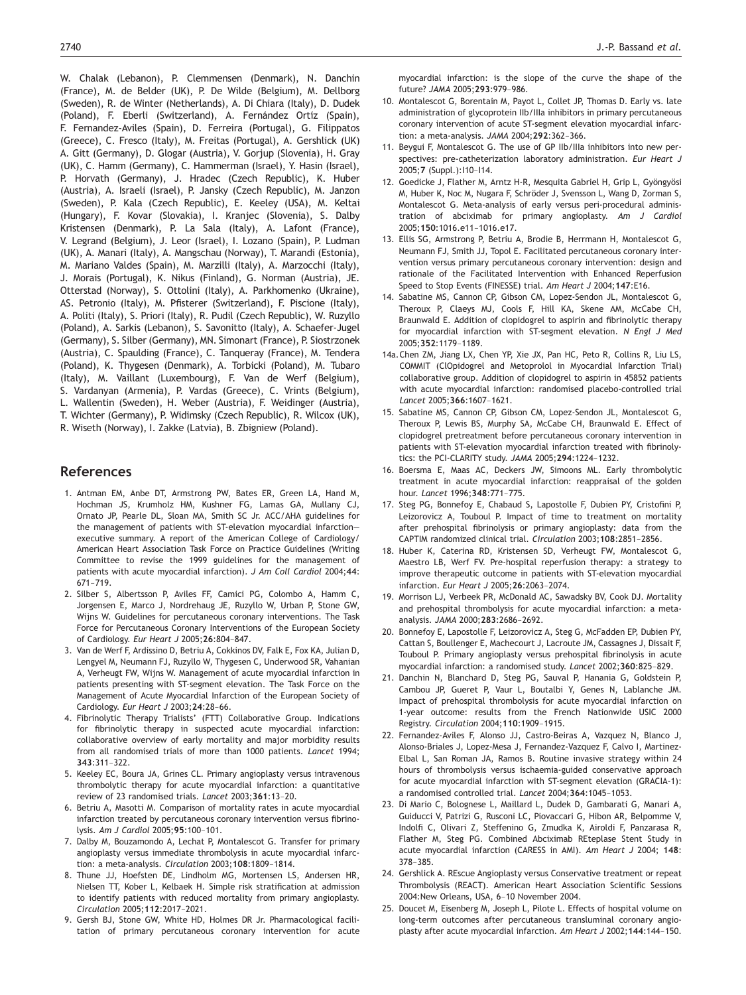W. Chalak (Lebanon), P. Clemmensen (Denmark), N. Danchin (France), M. de Belder (UK), P. De Wilde (Belgium), M. Dellborg (Sweden), R. de Winter (Netherlands), A. Di Chiara (Italy), D. Dudek (Poland), F. Eberli (Switzerland), A. Fernández Ortíz (Spain), F. Fernandez-Aviles (Spain), D. Ferreira (Portugal), G. Filippatos (Greece), C. Fresco (Italy), M. Freitas (Portugal), A. Gershlick (UK) A. Gitt (Germany), D. Glogar (Austria), V. Gorjup (Slovenia), H. Gray (UK), C. Hamm (Germany), C. Hammerman (Israel), Y. Hasin (Israel), P. Horvath (Germany), J. Hradec (Czech Republic), K. Huber (Austria), A. Israeli (Israel), P. Jansky (Czech Republic), M. Janzon (Sweden), P. Kala (Czech Republic), E. Keeley (USA), M. Keltai (Hungary), F. Kovar (Slovakia), I. Kranjec (Slovenia), S. Dalby Kristensen (Denmark), P. La Sala (Italy), A. Lafont (France), V. Legrand (Belgium), J. Leor (Israel), I. Lozano (Spain), P. Ludman (UK), A. Manari (Italy), A. Mangschau (Norway), T. Marandi (Estonia), M. Mariano Valdes (Spain), M. Marzilli (Italy), A. Marzocchi (Italy), J. Morais (Portugal), K. Nikus (Finland), G. Norman (Austria), JE. Otterstad (Norway), S. Ottolini (Italy), A. Parkhomenko (Ukraine), AS. Petronio (Italy), M. Pfisterer (Switzerland), F. Piscione (Italy), A. Politi (Italy), S. Priori (Italy), R. Pudil (Czech Republic), W. Ruzyllo (Poland), A. Sarkis (Lebanon), S. Savonitto (Italy), A. Schaefer-Jugel (Germany), S. Silber (Germany), MN. Simonart (France), P. Siostrzonek (Austria), C. Spaulding (France), C. Tanqueray (France), M. Tendera (Poland), K. Thygesen (Denmark), A. Torbicki (Poland), M. Tubaro (Italy), M. Vaillant (Luxembourg), F. Van de Werf (Belgium), S. Vardanyan (Armenia), P. Vardas (Greece), C. Vrints (Belgium), L. Wallentin (Sweden), H. Weber (Austria), F. Weidinger (Austria), T. Wichter (Germany), P. Widimsky (Czech Republic), R. Wilcox (UK), R. Wiseth (Norway), I. Zakke (Latvia), B. Zbigniew (Poland).

## References

- 1. Antman EM, Anbe DT, Armstrong PW, Bates ER, Green LA, Hand M, Hochman JS, Krumholz HM, Kushner FG, Lamas GA, Mullany CJ, Ornato JP, Pearle DL, Sloan MA, Smith SC Jr. ACC/AHA guidelines for the management of patients with ST-elevation myocardial infarction executive summary. A report of the American College of Cardiology/ American Heart Association Task Force on Practice Guidelines (Writing Committee to revise the 1999 guidelines for the management of patients with acute myocardial infarction). J Am Coll Cardiol 2004;44: 671–719.
- 2. Silber S, Albertsson P, Aviles FF, Camici PG, Colombo A, Hamm C, Jorgensen E, Marco J, Nordrehaug JE, Ruzyllo W, Urban P, Stone GW, Wijns W. Guidelines for percutaneous coronary interventions. The Task Force for Percutaneous Coronary Interventions of the European Society of Cardiology. Eur Heart J 2005;<sup>26</sup>:804–847.
- 3. Van de Werf F, Ardissino D, Betriu A, Cokkinos DV, Falk E, Fox KA, Julian D, Lengyel M, Neumann FJ, Ruzyllo W, Thygesen C, Underwood SR, Vahanian A, Verheugt FW, Wijns W. Management of acute myocardial infarction in patients presenting with ST-segment elevation. The Task Force on the Management of Acute Myocardial Infarction of the European Society of Cardiology. Eur Heart J 2003;<sup>24</sup>:28–66.
- 4. Fibrinolytic Therapy Trialists' (FTT) Collaborative Group. Indications for fibrinolytic therapy in suspected acute myocardial infarction: collaborative overview of early mortality and major morbidity results from all randomised trials of more than 1000 patients. Lancet 1994; <sup>343</sup>:311–322.
- 5. Keeley EC, Boura JA, Grines CL. Primary angioplasty versus intravenous thrombolytic therapy for acute myocardial infarction: a quantitative review of 23 randomised trials. Lancet 2003;<sup>361</sup>:13–20.
- 6. Betriu A, Masotti M. Comparison of mortality rates in acute myocardial infarction treated by percutaneous coronary intervention versus fibrinolysis. Am J Cardiol 2005;<sup>95</sup>:100–101.
- 7. Dalby M, Bouzamondo A, Lechat P, Montalescot G. Transfer for primary angioplasty versus immediate thrombolysis in acute myocardial infarction: a meta-analysis. Circulation 2003;<sup>108</sup>:1809–1814.
- 8. Thune JJ, Hoefsten DE, Lindholm MG, Mortensen LS, Andersen HR, Nielsen TT, Kober L, Kelbaek H. Simple risk stratification at admission to identify patients with reduced mortality from primary angioplasty. Circulation 2005;<sup>112</sup>:2017–2021.
- 9. Gersh BJ, Stone GW, White HD, Holmes DR Jr. Pharmacological facilitation of primary percutaneous coronary intervention for acute

myocardial infarction: is the slope of the curve the shape of the future? JAMA 2005;<sup>293</sup>:979–986.

- 10. Montalescot G, Borentain M, Payot L, Collet JP, Thomas D. Early vs. late administration of glycoprotein IIb/IIIa inhibitors in primary percutaneous coronary intervention of acute ST-segment elevation myocardial infarction: a meta-analysis. JAMA 2004;<sup>292</sup>:362–366.
- 11. Beygui F, Montalescot G. The use of GP IIb/IIIa inhibitors into new perspectives: pre-catheterization laboratory administration. Eur Heart J 2005;<sup>7</sup> (Suppl.):I10–I14.
- 12. Goedicke J, Flather M, Arntz H-R, Mesquita Gabriel H, Grip L, Gyöngyösi M, Huber K, Noc M, Nugara F, Schröder J, Svensson L, Wang D, Zorman S, Montalescot G. Meta-analysis of early versus peri-procedural administration of abciximab for primary angioplasty. Am J Cardiol 2005;<sup>150</sup>:1016.e11–1016.e17.
- 13. Ellis SG, Armstrong P, Betriu A, Brodie B, Herrmann H, Montalescot G, Neumann FJ, Smith JJ, Topol E. Facilitated percutaneous coronary intervention versus primary percutaneous coronary intervention: design and rationale of the Facilitated Intervention with Enhanced Reperfusion Speed to Stop Events (FINESSE) trial. Am Heart J 2004;147:E16.
- 14. Sabatine MS, Cannon CP, Gibson CM, Lopez-Sendon JL, Montalescot G, Theroux P, Claeys MJ, Cools F, Hill KA, Skene AM, McCabe CH, Braunwald E. Addition of clopidogrel to aspirin and fibrinolytic therapy for myocardial infarction with ST-segment elevation. N Engl J Med 2005;<sup>352</sup>:1179–1189.
- 14a.Chen ZM, Jiang LX, Chen YP, Xie JX, Pan HC, Peto R, Collins R, Liu LS, COMMIT (ClOpidogrel and Metoprolol in Myocardial Infarction Trial) collaborative group. Addition of clopidogrel to aspirin in 45852 patients with acute myocardial infarction: randomised placebo-controlled trial Lancet 2005;<sup>366</sup>:1607–1621.
- 15. Sabatine MS, Cannon CP, Gibson CM, Lopez-Sendon JL, Montalescot G, Theroux P, Lewis BS, Murphy SA, McCabe CH, Braunwald E. Effect of clopidogrel pretreatment before percutaneous coronary intervention in patients with ST-elevation myocardial infarction treated with fibrinolytics: the PCI-CLARITY study. JAMA 2005;<sup>294</sup>:1224–1232.
- 16. Boersma E, Maas AC, Deckers JW, Simoons ML. Early thrombolytic treatment in acute myocardial infarction: reappraisal of the golden hour. Lancet 1996; 348: 771-775.
- 17. Steg PG, Bonnefoy E, Chabaud S, Lapostolle F, Dubien PY, Cristofini P, Leizorovicz A, Touboul P. Impact of time to treatment on mortality after prehospital fibrinolysis or primary angioplasty: data from the CAPTIM randomized clinical trial. Circulation 2003;<sup>108</sup>:2851–2856.
- 18. Huber K, Caterina RD, Kristensen SD, Verheugt FW, Montalescot G, Maestro LB, Werf FV. Pre-hospital reperfusion therapy: a strategy to improve therapeutic outcome in patients with ST-elevation myocardial infarction. Eur Heart J 2005;<sup>26</sup>:2063–2074.
- 19. Morrison LJ, Verbeek PR, McDonald AC, Sawadsky BV, Cook DJ. Mortality and prehospital thrombolysis for acute myocardial infarction: a metaanalysis. JAMA 2000;<sup>283</sup>:2686–2692.
- 20. Bonnefoy E, Lapostolle F, Leizorovicz A, Steg G, McFadden EP, Dubien PY, Cattan S, Boullenger E, Machecourt J, Lacroute JM, Cassagnes J, Dissait F, Touboul P. Primary angioplasty versus prehospital fibrinolysis in acute myocardial infarction: a randomised study. Lancet 2002;<sup>360</sup>:825–829.
- 21. Danchin N, Blanchard D, Steg PG, Sauval P, Hanania G, Goldstein P, Cambou JP, Gueret P, Vaur L, Boutalbi Y, Genes N, Lablanche JM. Impact of prehospital thrombolysis for acute myocardial infarction on 1-year outcome: results from the French Nationwide USIC 2000 Registry. Circulation 2004;<sup>110</sup>:1909–1915.
- 22. Fernandez-Aviles F, Alonso JJ, Castro-Beiras A, Vazquez N, Blanco J, Alonso-Briales J, Lopez-Mesa J, Fernandez-Vazquez F, Calvo I, Martinez-Elbal L, San Roman JA, Ramos B. Routine invasive strategy within 24 hours of thrombolysis versus ischaemia-guided conservative approach for acute myocardial infarction with ST-segment elevation (GRACIA-1): a randomised controlled trial. Lancet 2004;<sup>364</sup>:1045–1053.
- 23. Di Mario C, Bolognese L, Maillard L, Dudek D, Gambarati G, Manari A, Guiducci V, Patrizi G, Rusconi LC, Piovaccari G, Hibon AR, Belpomme V, Indolfi C, Olivari Z, Steffenino G, Zmudka K, Airoldi F, Panzarasa R, Flather M, Steg PG. Combined Abciximab REteplase Stent Study in acute myocardial infarction (CARESS in AMI). Am Heart J 2004; 148: 378–385.
- 24. Gershlick A. REscue Angioplasty versus Conservative treatment or repeat Thrombolysis (REACT). American Heart Association Scientific Sessions 2004:New Orleans, USA, 6–10 November 2004.
- 25. Doucet M, Eisenberg M, Joseph L, Pilote L. Effects of hospital volume on long-term outcomes after percutaneous transluminal coronary angioplasty after acute myocardial infarction. Am Heart J 2002;<sup>144</sup>:144–150.